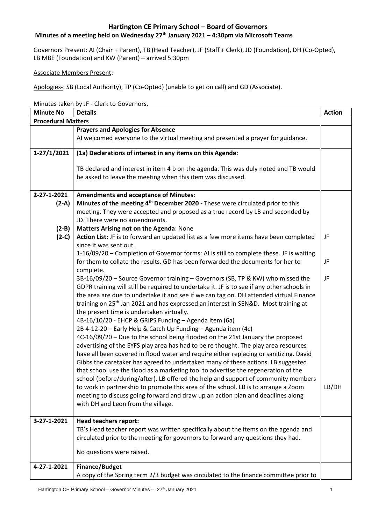# **Minutes of a meeting held on Wednesday 27th January 2021 – 4:30pm via Microsoft Teams**

Governors Present: AI (Chair + Parent), TB (Head Teacher), JF (Staff + Clerk), JD (Foundation), DH (Co-Opted), LB MBE (Foundation) and KW (Parent) – arrived 5:30pm

Associate Members Present:

Apologies-: SB (Local Authority), TP (Co-Opted) (unable to get on call) and GD (Associate).

Minutes taken by JF - Clerk to Governors,

| <b>Minute No</b>          | <b>Details</b>                                                                                                                                                                       | <b>Action</b> |
|---------------------------|--------------------------------------------------------------------------------------------------------------------------------------------------------------------------------------|---------------|
| <b>Procedural Matters</b> |                                                                                                                                                                                      |               |
|                           | <b>Prayers and Apologies for Absence</b>                                                                                                                                             |               |
|                           | AI welcomed everyone to the virtual meeting and presented a prayer for guidance.                                                                                                     |               |
| $1-27/1/2021$             | (1a) Declarations of interest in any items on this Agenda:                                                                                                                           |               |
|                           | TB declared and interest in item 4 b on the agenda. This was duly noted and TB would                                                                                                 |               |
|                           | be asked to leave the meeting when this item was discussed.                                                                                                                          |               |
| 2-27-1-2021               | <b>Amendments and acceptance of Minutes:</b>                                                                                                                                         |               |
| $(2-A)$                   | Minutes of the meeting 4 <sup>th</sup> December 2020 - These were circulated prior to this                                                                                           |               |
|                           | meeting. They were accepted and proposed as a true record by LB and seconded by                                                                                                      |               |
|                           | JD. There were no amendments.                                                                                                                                                        |               |
| $(2-B)$                   | Matters Arising not on the Agenda: None                                                                                                                                              |               |
| $(2-C)$                   | Action List: JF is to forward an updated list as a few more items have been completed<br>since it was sent out.                                                                      | JF            |
|                           | 1-16/09/20 - Completion of Governor forms: AI is still to complete these. JF is waiting                                                                                              |               |
|                           | for them to collate the results. GD has been forwarded the documents for her to                                                                                                      | JF            |
|                           | complete.                                                                                                                                                                            |               |
|                           | 3B-16/09/20 - Source Governor training - Governors (SB, TP & KW) who missed the                                                                                                      | JF            |
|                           | GDPR training will still be required to undertake it. JF is to see if any other schools in<br>the area are due to undertake it and see if we can tag on. DH attended virtual Finance |               |
|                           | training on 25 <sup>th</sup> Jan 2021 and has expressed an interest in SEN&D. Most training at                                                                                       |               |
|                           | the present time is undertaken virtually.                                                                                                                                            |               |
|                           | 4B-16/10/20 - EHCP & GRIPS Funding - Agenda item (6a)                                                                                                                                |               |
|                           | 2B 4-12-20 - Early Help & Catch Up Funding - Agenda item (4c)                                                                                                                        |               |
|                           | 4C-16/09/20 - Due to the school being flooded on the 21st January the proposed                                                                                                       |               |
|                           | advertising of the EYFS play area has had to be re thought. The play area resources                                                                                                  |               |
|                           | have all been covered in flood water and require either replacing or sanitizing. David                                                                                               |               |
|                           | Gibbs the caretaker has agreed to undertaken many of these actions. LB suggested                                                                                                     |               |
|                           | that school use the flood as a marketing tool to advertise the regeneration of the                                                                                                   |               |
|                           | school (before/during/after). LB offered the help and support of community members                                                                                                   |               |
|                           | to work in partnership to promote this area of the school. LB is to arrange a Zoom                                                                                                   | LB/DH         |
|                           | meeting to discuss going forward and draw up an action plan and deadlines along                                                                                                      |               |
|                           | with DH and Leon from the village.                                                                                                                                                   |               |
|                           |                                                                                                                                                                                      |               |
| 3-27-1-2021               | <b>Head teachers report:</b>                                                                                                                                                         |               |
|                           | TB's Head teacher report was written specifically about the items on the agenda and                                                                                                  |               |
|                           | circulated prior to the meeting for governors to forward any questions they had.                                                                                                     |               |
|                           | No questions were raised.                                                                                                                                                            |               |
| 4-27-1-2021               | <b>Finance/Budget</b>                                                                                                                                                                |               |
|                           | A copy of the Spring term 2/3 budget was circulated to the finance committee prior to                                                                                                |               |
|                           |                                                                                                                                                                                      |               |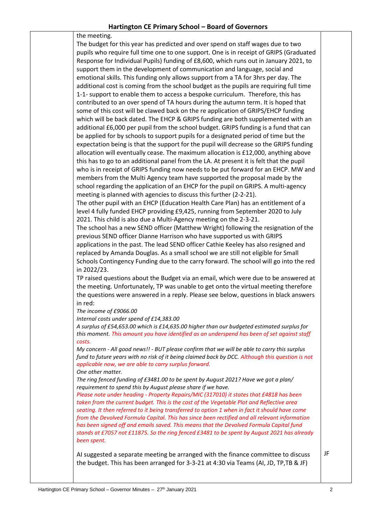the meeting. The budget for this year has predicted and over spend on staff wages due to two pupils who require full time one to one support. One is in receipt of GRIPS (Graduated Response for Individual Pupils) funding of £8,600, which runs out in January 2021, to support them in the development of communication and language, social and emotional skills. This funding only allows support from a TA for 3hrs per day. The additional cost is coming from the school budget as the pupils are requiring full time 1-1- support to enable them to access a bespoke curriculum. Therefore, this has contributed to an over spend of TA hours during the autumn term. It is hoped that some of this cost will be clawed back on the re application of GRIPS/EHCP funding which will be back dated. The EHCP & GRIPS funding are both supplemented with an additional £6,000 per pupil from the school budget. GRIPS funding is a fund that can be applied for by schools to support pupils for a designated period of time but the expectation being is that the support for the pupil will decrease so the GRIPS funding allocation will eventually cease. The maximum allocation is £12,000, anything above this has to go to an additional panel from the LA. At present it is felt that the pupil who is in receipt of GRIPS funding now needs to be put forward for an EHCP. MW and members from the Multi Agency team have supported the proposal made by the school regarding the application of an EHCP for the pupil on GRIPS. A multi-agency meeting is planned with agencies to discuss this further (2-2-21). The other pupil with an EHCP (Education Health Care Plan) has an entitlement of a level 4 fully funded EHCP providing £9,425, running from September 2020 to July 2021. This child is also due a Multi-Agency meeting on the 2-3-21. The school has a new SEND officer (Matthew Wright) following the resignation of the previous SEND officer Dianne Harrison who have supported us with GRIPS applications in the past. The lead SEND officer Cathie Keeley has also resigned and replaced by Amanda Douglas. As a small school we are still not eligible for Small Schools Contingency Funding due to the carry forward. The school will go into the red in 2022/23. TP raised questions about the Budget via an email, which were due to be answered at the meeting. Unfortunately, TP was unable to get onto the virtual meeting therefore the questions were answered in a reply. Please see below, questions in black answers in red: *The income of £9066.00 Internal costs under spend of £14,383.00 A surplus of £54,653.00 which is £14,635.00 higher than our budgeted estimated surplus for this moment. This amount you have identified as an underspend has been of set against staff costs. My concern - All good news!! - BUT please confirm that we will be able to carry this surplus fund to future years with no risk of it being claimed back by DCC. Although this question is not applicable now, we are able to carry surplus forward. One other matter. The ring fenced funding of £3481.00 to be spent by August 2021? Have we got a plan/ requirement to spend this by August please share if we have.*

*Please note under heading - Property Repairs/MIC (317010) it states that £4818 has been taken from the current budget. This is the cost of the Vegetable Plot and Reflective area seating. It then referred to it being transferred to option 1 when in fact it should have come from the Devolved Formula Capital. This has since been rectified and all relevant information has been signed off and emails saved. This means that the Devolved Formula Capital fund stands at £7057 not £11875. So the ring fenced £3481 to be spent by August 2021 has already been spent.*

AI suggested a separate meeting be arranged with the finance committee to discuss the budget. This has been arranged for 3-3-21 at 4:30 via Teams (AI, JD, TP,TB & JF)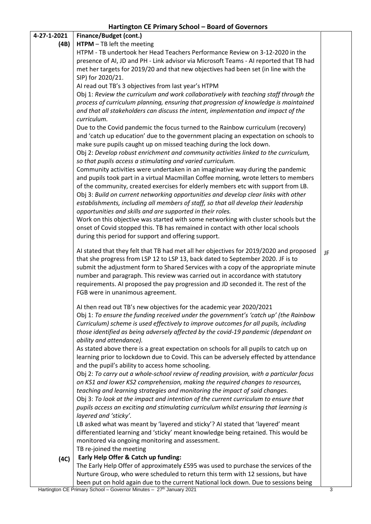|             | Hartington CE Primary School - Board of Governors                                                                                                                             |    |
|-------------|-------------------------------------------------------------------------------------------------------------------------------------------------------------------------------|----|
| 4-27-1-2021 | Finance/Budget (cont.)                                                                                                                                                        |    |
| (4B)        | $HTPM - TB$ left the meeting                                                                                                                                                  |    |
|             | HTPM - TB undertook her Head Teachers Performance Review on 3-12-2020 in the                                                                                                  |    |
|             | presence of AI, JD and PH - Link advisor via Microsoft Teams - AI reported that TB had                                                                                        |    |
|             | met her targets for 2019/20 and that new objectives had been set (in line with the                                                                                            |    |
|             | SIP) for 2020/21.                                                                                                                                                             |    |
|             | AI read out TB's 3 objectives from last year's HTPM                                                                                                                           |    |
|             | Obj 1: Review the curriculum and work collaboratively with teaching staff through the<br>process of curriculum planning, ensuring that progression of knowledge is maintained |    |
|             | and that all stakeholders can discuss the intent, implementation and impact of the<br>curriculum.                                                                             |    |
|             | Due to the Covid pandemic the focus turned to the Rainbow curriculum (recovery)                                                                                               |    |
|             | and 'catch up education' due to the government placing an expectation on schools to                                                                                           |    |
|             | make sure pupils caught up on missed teaching during the lock down.                                                                                                           |    |
|             | Obj 2: Develop robust enrichment and community activities linked to the curriculum,                                                                                           |    |
|             | so that pupils access a stimulating and varied curriculum.                                                                                                                    |    |
|             | Community activities were undertaken in an imaginative way during the pandemic                                                                                                |    |
|             | and pupils took part in a virtual Macmillan Coffee morning, wrote letters to members                                                                                          |    |
|             | of the community, created exercises for elderly members etc with support from LB.                                                                                             |    |
|             | Obj 3: Build on current networking opportunities and develop clear links with other                                                                                           |    |
|             | establishments, including all members of staff, so that all develop their leadership                                                                                          |    |
|             | opportunities and skills and are supported in their roles.                                                                                                                    |    |
|             | Work on this objective was started with some networking with cluster schools but the                                                                                          |    |
|             | onset of Covid stopped this. TB has remained in contact with other local schools<br>during this period for support and offering support.                                      |    |
|             |                                                                                                                                                                               |    |
|             | AI stated that they felt that TB had met all her objectives for 2019/2020 and proposed                                                                                        | JF |
|             | that she progress from LSP 12 to LSP 13, back dated to September 2020. JF is to                                                                                               |    |
|             | submit the adjustment form to Shared Services with a copy of the appropriate minute                                                                                           |    |
|             | number and paragraph. This review was carried out in accordance with statutory                                                                                                |    |
|             | requirements. AI proposed the pay progression and JD seconded it. The rest of the                                                                                             |    |
|             | FGB were in unanimous agreement.                                                                                                                                              |    |
|             | Al then read out TB's new objectives for the academic year 2020/2021                                                                                                          |    |
|             | Obj 1: To ensure the funding received under the government's 'catch up' (the Rainbow                                                                                          |    |
|             | Curriculum) scheme is used effectively to improve outcomes for all pupils, including                                                                                          |    |
|             | those identified as being adversely affected by the covid-19 pandemic (dependant on                                                                                           |    |
|             | ability and attendance).                                                                                                                                                      |    |
|             | As stated above there is a great expectation on schools for all pupils to catch up on                                                                                         |    |
|             | learning prior to lockdown due to Covid. This can be adversely effected by attendance                                                                                         |    |
|             | and the pupil's ability to access home schooling.                                                                                                                             |    |
|             | Obj 2: To carry out a whole-school review of reading provision, with a particular focus<br>on KS1 and lower KS2 comprehension, making the required changes to resources,      |    |
|             | teaching and learning strategies and monitoring the impact of said changes.                                                                                                   |    |
|             | Obj 3: To look at the impact and intention of the current curriculum to ensure that                                                                                           |    |
|             | pupils access an exciting and stimulating curriculum whilst ensuring that learning is                                                                                         |    |
|             | layered and 'sticky'.                                                                                                                                                         |    |
|             | LB asked what was meant by 'layered and sticky'? AI stated that 'layered' meant                                                                                               |    |
|             | differentiated learning and 'sticky' meant knowledge being retained. This would be                                                                                            |    |
|             | monitored via ongoing monitoring and assessment.                                                                                                                              |    |
|             | TB re-joined the meeting                                                                                                                                                      |    |
| (4C)        | Early Help Offer & Catch up funding:                                                                                                                                          |    |
|             | The Early Help Offer of approximately £595 was used to purchase the services of the                                                                                           |    |
|             | Nurture Group, who were scheduled to return this term with 12 sessions, but have                                                                                              |    |
|             | been put on hold again due to the current National lock down. Due to sessions being                                                                                           |    |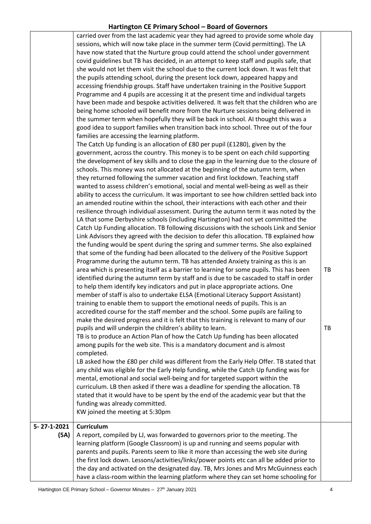|                     | carried over from the last academic year they had agreed to provide some whole day<br>sessions, which will now take place in the summer term (Covid permitting). The LA<br>have now stated that the Nurture group could attend the school under government<br>covid guidelines but TB has decided, in an attempt to keep staff and pupils safe, that<br>she would not let them visit the school due to the current lock down. It was felt that<br>the pupils attending school, during the present lock down, appeared happy and<br>accessing friendship groups. Staff have undertaken training in the Positive Support<br>Programme and 4 pupils are accessing it at the present time and individual targets<br>have been made and bespoke activities delivered. It was felt that the children who are<br>being home schooled will benefit more from the Nurture sessions being delivered in<br>the summer term when hopefully they will be back in school. AI thought this was a<br>good idea to support families when transition back into school. Three out of the four<br>families are accessing the learning platform.<br>The Catch Up funding is an allocation of £80 per pupil (£1280), given by the<br>government, across the country. This money is to be spent on each child supporting<br>the development of key skills and to close the gap in the learning due to the closure of<br>schools. This money was not allocated at the beginning of the autumn term, when<br>they returned following the summer vacation and first lockdown. Teaching staff<br>wanted to assess children's emotional, social and mental well-being as well as their<br>ability to access the curriculum. It was important to see how children settled back into<br>an amended routine within the school, their interactions with each other and their<br>resilience through individual assessment. During the autumn term it was noted by the<br>LA that some Derbyshire schools (including Hartington) had not yet committed the<br>Catch Up Funding allocation. TB following discussions with the schools Link and Senior<br>Link Advisors they agreed with the decision to defer this allocation. TB explained how<br>the funding would be spent during the spring and summer terms. She also explained<br>that some of the funding had been allocated to the delivery of the Positive Support<br>Programme during the autumn term. TB has attended Anxiety training as this is an<br>area which is presenting itself as a barrier to learning for some pupils. This has been<br>identified during the autumn term by staff and is due to be cascaded to staff in order<br>to help them identify key indicators and put in place appropriate actions. One<br>member of staff is also to undertake ELSA (Emotional Literacy Support Assistant)<br>training to enable them to support the emotional needs of pupils. This is an<br>accredited course for the staff member and the school. Some pupils are failing to<br>make the desired progress and it is felt that this training is relevant to many of our<br>pupils and will underpin the children's ability to learn.<br>TB is to produce an Action Plan of how the Catch Up funding has been allocated<br>among pupils for the web site. This is a mandatory document and is almost<br>completed.<br>LB asked how the £80 per child was different from the Early Help Offer. TB stated that<br>any child was eligible for the Early Help funding, while the Catch Up funding was for<br>mental, emotional and social well-being and for targeted support within the<br>curriculum. LB then asked if there was a deadline for spending the allocation. TB<br>stated that it would have to be spent by the end of the academic year but that the<br>funding was already committed.<br>KW joined the meeting at 5:30pm | TB<br>TB |
|---------------------|--------------------------------------------------------------------------------------------------------------------------------------------------------------------------------------------------------------------------------------------------------------------------------------------------------------------------------------------------------------------------------------------------------------------------------------------------------------------------------------------------------------------------------------------------------------------------------------------------------------------------------------------------------------------------------------------------------------------------------------------------------------------------------------------------------------------------------------------------------------------------------------------------------------------------------------------------------------------------------------------------------------------------------------------------------------------------------------------------------------------------------------------------------------------------------------------------------------------------------------------------------------------------------------------------------------------------------------------------------------------------------------------------------------------------------------------------------------------------------------------------------------------------------------------------------------------------------------------------------------------------------------------------------------------------------------------------------------------------------------------------------------------------------------------------------------------------------------------------------------------------------------------------------------------------------------------------------------------------------------------------------------------------------------------------------------------------------------------------------------------------------------------------------------------------------------------------------------------------------------------------------------------------------------------------------------------------------------------------------------------------------------------------------------------------------------------------------------------------------------------------------------------------------------------------------------------------------------------------------------------------------------------------------------------------------------------------------------------------------------------------------------------------------------------------------------------------------------------------------------------------------------------------------------------------------------------------------------------------------------------------------------------------------------------------------------------------------------------------------------------------------------------------------------------------------------------------------------------------------------------------------------------------------------------------------------------------------------------------------------------------------------------------------------------------------------------------------------------------------------------------------------------------------------------------------------------------------------------------------------------------------------------------------------------------------------------------------------------------------------------------------------------------------------------------------------------------------------------------------------------|----------|
| 5-27-1-2021<br>(5A) | <b>Curriculum</b><br>A report, compiled by LJ, was forwarded to governors prior to the meeting. The<br>learning platform (Google Classroom) is up and running and seems popular with<br>parents and pupils. Parents seem to like it more than accessing the web site during<br>the first lock down. Lessons/activities/links/power points etc can all be added prior to<br>the day and activated on the designated day. TB, Mrs Jones and Mrs McGuinness each<br>have a class-room within the learning platform where they can set home schooling for                                                                                                                                                                                                                                                                                                                                                                                                                                                                                                                                                                                                                                                                                                                                                                                                                                                                                                                                                                                                                                                                                                                                                                                                                                                                                                                                                                                                                                                                                                                                                                                                                                                                                                                                                                                                                                                                                                                                                                                                                                                                                                                                                                                                                                                                                                                                                                                                                                                                                                                                                                                                                                                                                                                                                                                                                                                                                                                                                                                                                                                                                                                                                                                                                                                                                                              |          |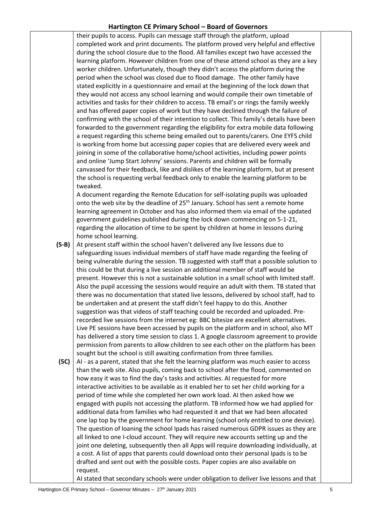their pupils to access. Pupils can message staff through the platform, upload completed work and print documents. The platform proved very helpful and effective during the school closure due to the flood. All families except two have accessed the learning platform. However children from one of these attend school as they are a key worker children. Unfortunately, though they didn't access the platform during the period when the school was closed due to flood damage. The other family have stated explicitly in a questionnaire and email at the beginning of the lock down that they would not access any school learning and would compile their own timetable of activities and tasks for their children to access. TB email's or rings the family weekly and has offered paper copies of work but they have declined through the failure of confirming with the school of their intention to collect. This family's details have been forwarded to the government regarding the eligibility for extra mobile data following a request regarding this scheme being emailed out to parents/carers. One EYFS child is working from home but accessing paper copies that are delivered every week and joining in some of the collaborative home/school activities, including power points and online 'Jump Start Johnny' sessions. Parents and children will be formally canvassed for their feedback, like and dislikes of the learning platform, but at present the school is requesting verbal feedback only to enable the learning platform to be tweaked.

A document regarding the Remote Education for self-isolating pupils was uploaded onto the web site by the deadline of 25<sup>th</sup> January. School has sent a remote home learning agreement in October and has also informed them via email of the updated government guidelines published during the lock down commencing on 5-1-21, regarding the allocation of time to be spent by children at home in lessons during home school learning.

**(5-B)** At present staff within the school haven't delivered any live lessons due to safeguarding issues individual members of staff have made regarding the feeling of being vulnerable during the session. TB suggested with staff that a possible solution to this could be that during a live session an additional member of staff would be present. However this is not a sustainable solution in a small school with limited staff. Also the pupil accessing the sessions would require an adult with them. TB stated that there was no documentation that stated live lessons, delivered by school staff, had to be undertaken and at present the staff didn't feel happy to do this. Another suggestion was that videos of staff teaching could be recorded and uploaded. Prerecorded live sessions from the internet eg: BBC bitesize are excellent alternatives. Live PE sessions have been accessed by pupils on the platform and in school, also MT has delivered a story time session to class 1. A google classroom agreement to provide permission from parents to allow children to see each other on the platform has been sought but the school is still awaiting confirmation from three families.

**(5C)** AI - as a parent, stated that she felt the learning platform was much easier to access than the web site. Also pupils, coming back to school after the flood, commented on how easy it was to find the day's tasks and activities. AI requested for more interactive activities to be available as it enabled her to set her child working for a period of time while she completed her own work load. AI then asked how we engaged with pupils not accessing the platform. TB informed how we had applied for additional data from families who had requested it and that we had been allocated one lap top by the government for home learning (school only entitled to one device). The question of loaning the school Ipads has raised numerous GDPR issues as they are all linked to one I-cloud account. They will require new accounts setting up and the joint one deleting, subsequently then all Apps will require downloading individually, at a cost. A list of apps that parents could download onto their personal Ipads is to be drafted and sent out with the possible costs. Paper copies are also available on request.

AI stated that secondary schools were under obligation to deliver live lessons and that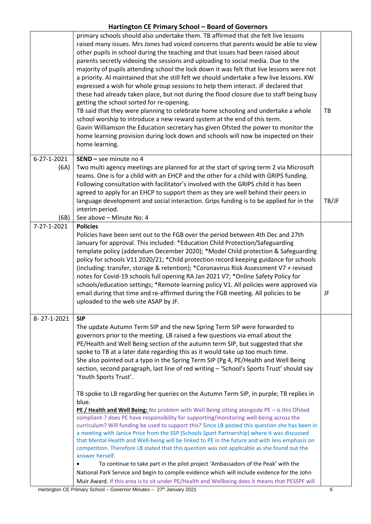|                             | primary schools should also undertake them. TB affirmed that she felt live lessons<br>raised many issues. Mrs Jones had voiced concerns that parents would be able to view<br>other pupils in school during the teaching and that issues had been raised about<br>parents secretly videoing the sessions and uploading to social media. Due to the<br>majority of pupils attending school the lock down it was felt that live lessons were not<br>a priority. Al maintained that she still felt we should undertake a few live lessons. KW<br>expressed a wish for whole group sessions to help them interact. JF declared that<br>these had already taken place, but not during the flood closure due to staff being busy<br>getting the school sorted for re-opening.<br>TB said that they were planning to celebrate home schooling and undertake a whole<br>school worship to introduce a new reward system at the end of this term.<br>Gavin Williamson the Education secretary has given Ofsted the power to monitor the<br>home learning provision during lock down and schools will now be inspected on their<br>home learning.                                                                                                                                   | TB    |
|-----------------------------|---------------------------------------------------------------------------------------------------------------------------------------------------------------------------------------------------------------------------------------------------------------------------------------------------------------------------------------------------------------------------------------------------------------------------------------------------------------------------------------------------------------------------------------------------------------------------------------------------------------------------------------------------------------------------------------------------------------------------------------------------------------------------------------------------------------------------------------------------------------------------------------------------------------------------------------------------------------------------------------------------------------------------------------------------------------------------------------------------------------------------------------------------------------------------------------------------------------------------------------------------------------------------|-------|
| 6-27-1-2021<br>(6A)<br>(6B) | SEND - see minute no 4<br>Two multi agency meetings are planned for at the start of spring term 2 via Microsoft<br>teams. One is for a child with an EHCP and the other for a child with GRIPS funding.<br>Following consultation with facilitator's involved with the GRIPS child it has been<br>agreed to apply for an EHCP to support them as they are well behind their peers in<br>language development and social interaction. Grips funding is to be applied for in the<br>interim period.<br>See above - Minute No: 4                                                                                                                                                                                                                                                                                                                                                                                                                                                                                                                                                                                                                                                                                                                                             | TB/JF |
| 7-27-1-2021                 | <b>Policies</b><br>Policies have been sent out to the FGB over the period between 4th Dec and 27th<br>January for approval. This included: *Education Child Protection/Safeguarding<br>template policy (addendum December 2020); *Model Child protection & Safeguarding<br>policy for schools V11 2020/21; *Child protection record keeping guidance for schools<br>(including: transfer, storage & retention); *Coronavirus Risk Assessment V7 + revised<br>notes for Covid-19 schools full opening RA Jan 2021 V7; *Online Safety Policy for<br>schools/education settings; *Remote learning policy V1. All policies were approved via<br>email during that time and re-affirmed during the FGB meeting. All policies to be<br>uploaded to the web site ASAP by JF.                                                                                                                                                                                                                                                                                                                                                                                                                                                                                                     | JF    |
| 8-27-1-2021                 | <b>SIP</b><br>The update Autumn Term SIP and the new Spring Term SIP were forwarded to<br>governors prior to the meeting. LB raised a few questions via email about the<br>PE/Health and Well Being section of the autumn term SIP, but suggested that she<br>spoke to TB at a later date regarding this as it would take up too much time.<br>She also pointed out a typo in the Spring Term SIP (Pg 4, PE/Health and Well Being<br>section, second paragraph, last line of red writing - 'School's Sports Trust' should say<br>'Youth Sports Trust'.<br>TB spoke to LB regarding her queries on the Autumn Term SIP, in purple; TB replies in<br>blue.<br>PE / Health and Well Being: No problem with Well Being sitting alongside PE - is this Ofsted<br>compliant-? does PE have responsibility for supporting/monitoring well-being across the<br>curriculum? Will funding be used to support this? Since LB posted this question she has been in<br>a meeting with Janice Price from the SSP (Schools Sport Partnership) where it was discussed<br>that Mental Health and Well-being will be linked to PE in the future and with less emphasis on<br>competition. Therefore LB stated that this question was not applicable as she found out the<br>answer herself. |       |
|                             | To continue to take part in the pilot project 'Ambassadors of the Peak' with the<br>National Park Service and begin to compile evidence which will include evidence for the John<br>Muir Award. If this area is to sit under PE/Health and Wellbeing does it means that PESSPF will                                                                                                                                                                                                                                                                                                                                                                                                                                                                                                                                                                                                                                                                                                                                                                                                                                                                                                                                                                                       |       |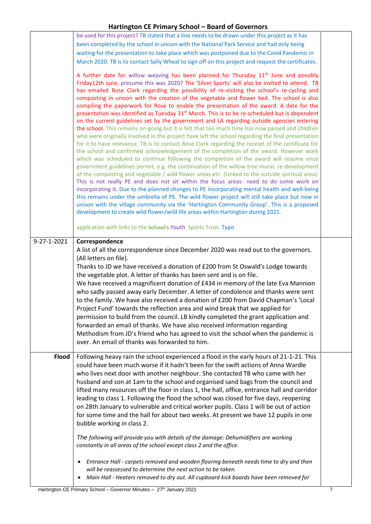|              | be used for this project? TB stated that a line needs to be drawn under this project as it has<br>been completed by the school in unison with the National Park Service and had only being<br>waiting for the presentation to take place which was postponed due to the Covid Pandemic in<br>March 2020. TB is to contact Sally Wheal to sign off on this project and request the certificates.                                                                                                                                                                                                                                                                                                                                                                                                                                                                                                                                                                                                                                                                                                                                                                                                                                                                                                                                                                                                                                                                                                                                                                                                                                                                                                                                                                                                                                                                                                |  |
|--------------|------------------------------------------------------------------------------------------------------------------------------------------------------------------------------------------------------------------------------------------------------------------------------------------------------------------------------------------------------------------------------------------------------------------------------------------------------------------------------------------------------------------------------------------------------------------------------------------------------------------------------------------------------------------------------------------------------------------------------------------------------------------------------------------------------------------------------------------------------------------------------------------------------------------------------------------------------------------------------------------------------------------------------------------------------------------------------------------------------------------------------------------------------------------------------------------------------------------------------------------------------------------------------------------------------------------------------------------------------------------------------------------------------------------------------------------------------------------------------------------------------------------------------------------------------------------------------------------------------------------------------------------------------------------------------------------------------------------------------------------------------------------------------------------------------------------------------------------------------------------------------------------------|--|
|              | A further date for willow weaving has been planned for Thursday 11 <sup>th</sup> June and possibly<br>Friday12th June. presume this was 2020? The 'Silver Sports' will also be invited to attend. TB<br>has emailed Rose Clark regarding the possibility of re-visiting the school's re-cycling and<br>composting in unison with the creation of the vegetable and flower bed. The school is also<br>compiling the paperwork for Rose to enable the presentation of the award. A date for the<br>presentation was identified as Tuesday 31 <sup>st</sup> March. This is to be re-scheduled but is dependent<br>on the current guidelines set by the government and LA regarding outside agencies entering<br>the school. This remains on-going but it is felt that too much time has now passed and children<br>who were originally involved in the project have left the school regarding the final presentation<br>for it to have relevance. TB is to contact Rose Clark regarding the receipt of the certificate for<br>the school and confirmed acknowledgement of the completion of the award. However work<br>which was scheduled to continue following the completion of the award will resume once<br>government guidelines permit, e.g. the continuation of the willow tree mural, re-development<br>of the composting and vegetable / wild flower areas etc. (Linked to the outside spiritual area).<br>This is not really PE and does not sit within the focus areas- need to do some work on<br>incorporating it. Due to the planned changes to PE incorporating mental health and well-being<br>this remains under the umbrella of PE. The wild flower project will still take place but now in<br>unison with the village community via the 'Hartington Community Group'. This is a proposed<br>development to create wild flower/wild life areas within Hartington during 2021. |  |
|              | application with links to the School's-Youth Sports Trust. Typo                                                                                                                                                                                                                                                                                                                                                                                                                                                                                                                                                                                                                                                                                                                                                                                                                                                                                                                                                                                                                                                                                                                                                                                                                                                                                                                                                                                                                                                                                                                                                                                                                                                                                                                                                                                                                                |  |
| 9-27-1-2021  | Correspondence<br>A list of all the correspondence since December 2020 was read out to the governors.<br>(All letters on file).<br>Thanks to JD we have received a donation of £200 from St Oswald's Lodge towards<br>the vegetable plot. A letter of thanks has been sent and is on file.<br>We have received a magnificent donation of £434 in memory of the late Eva Mannion<br>who sadly passed away early December. A letter of condolence and thanks were sent<br>to the family. We have also received a donation of £200 from David Chapman's 'Local<br>Project Fund' towards the reflection area and wind break that we applied for<br>permission to build from the council. LB kindly completed the grant application and<br>forwarded an email of thanks. We have also received information regarding<br>Methodism from JD's friend who has agreed to visit the school when the pandemic is<br>over. An email of thanks was forwarded to him.                                                                                                                                                                                                                                                                                                                                                                                                                                                                                                                                                                                                                                                                                                                                                                                                                                                                                                                                        |  |
| <b>Flood</b> | Following heavy rain the school experienced a flood in the early hours of 21-1-21. This<br>could have been much worse if it hadn't been for the swift actions of Anna Wardle<br>who lives next door with another neighbour. She contacted TB who came with her<br>husband and son at 1am to the school and organised sand bags from the council and<br>lifted many resources off the floor in class 1, the hall, office, entrance hall and corridor<br>leading to class 1. Following the flood the school was closed for five days, reopening<br>on 28th January to vulnerable and critical worker pupils. Class 1 will be out of action<br>for some time and the hall for about two weeks. At present we have 12 pupils in one<br>bubble working in class 2.<br>The following will provide you with details of the damage: Dehumidifiers are working<br>constantly in all areas of the school except class 2 and the office.<br>Entrance Hall - carpets removed and wooden flooring beneath needs time to dry and then<br>$\bullet$<br>will be reassessed to determine the next action to be taken.                                                                                                                                                                                                                                                                                                                                                                                                                                                                                                                                                                                                                                                                                                                                                                                           |  |
|              | Main Hall - Heaters removed to dry out. All cupboard kick boards have been removed for<br>$\bullet$                                                                                                                                                                                                                                                                                                                                                                                                                                                                                                                                                                                                                                                                                                                                                                                                                                                                                                                                                                                                                                                                                                                                                                                                                                                                                                                                                                                                                                                                                                                                                                                                                                                                                                                                                                                            |  |